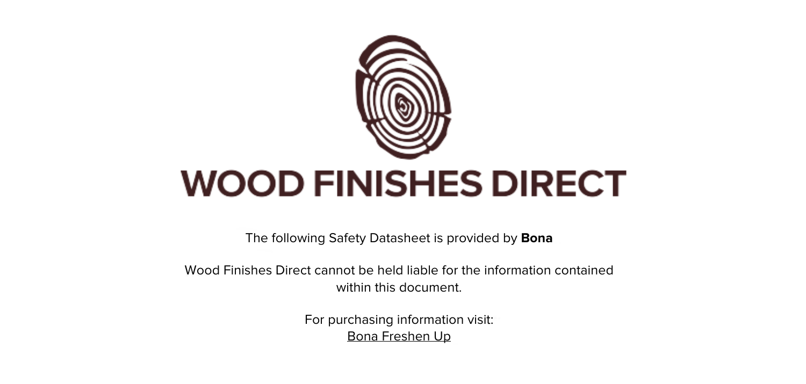

The following Safety Datasheet is provided by **Bona**

Wood Finishes Direct cannot be held liable for the information contained within this document

> For purchasing information visit: [Bona Freshen Up](https://www.wood-finishes-direct.com/product/bona-freshen-up)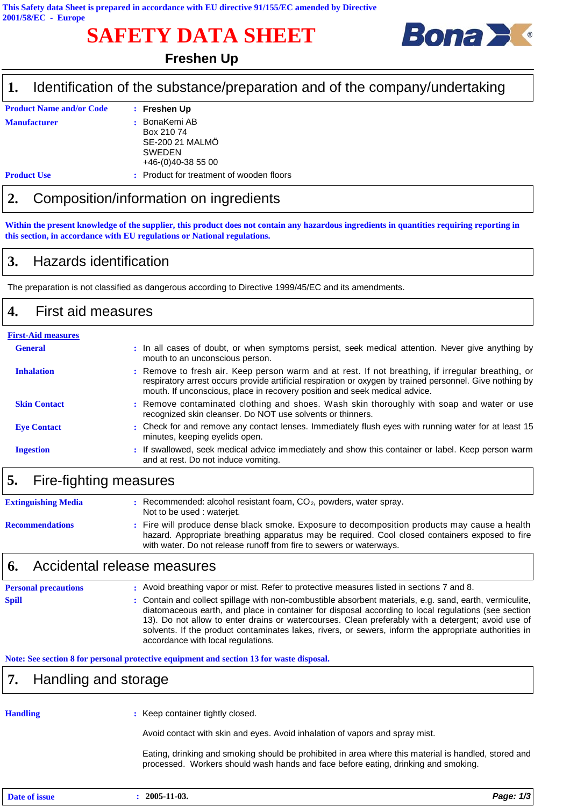# **SAFETY DATA SHEET**



## **Freshen Up**

### Identification of the substance/preparation and of the company/undertaking 1.

| <b>Product Name and/or Code</b> | : Freshen Up                                   |
|---------------------------------|------------------------------------------------|
| <b>Manufacturer</b>             | : BonaKemi AB<br>Box 210 74<br>SE-200 21 MALMO |
|                                 | <b>SWEDEN</b><br>$+46(0)40-38500$              |
| <b>Product Use</b>              | : Product for treatment of wooden floors       |

## $2.$ Composition/information on ingredients

Within the present knowledge of the supplier, this product does not contain any hazardous ingredients in quantities requiring reporting in this section, in accordance with EU regulations or National regulations.

### 3. **Hazards identification**

The preparation is not classified as dangerous according to Directive 1999/45/EC and its amendments.

### 4. **First aid measures**

| <b>First-Aid measures</b> |                                                                                                                                                                                                                                                                                             |
|---------------------------|---------------------------------------------------------------------------------------------------------------------------------------------------------------------------------------------------------------------------------------------------------------------------------------------|
| <b>General</b>            | . In all cases of doubt, or when symptoms persist, seek medical attention. Never give anything by<br>mouth to an unconscious person.                                                                                                                                                        |
| <b>Inhalation</b>         | : Remove to fresh air. Keep person warm and at rest. If not breathing, if irregular breathing, or<br>respiratory arrest occurs provide artificial respiration or oxygen by trained personnel. Give nothing by<br>mouth. If unconscious, place in recovery position and seek medical advice. |
| <b>Skin Contact</b>       | : Remove contaminated clothing and shoes. Wash skin thoroughly with soap and water or use<br>recognized skin cleanser. Do NOT use solvents or thinners.                                                                                                                                     |
| <b>Eye Contact</b>        | : Check for and remove any contact lenses. Immediately flush eyes with running water for at least 15<br>minutes, keeping eyelids open.                                                                                                                                                      |
| <b>Ingestion</b>          | : If swallowed, seek medical advice immediately and show this container or label. Keep person warm<br>and at rest. Do not induce vomiting.                                                                                                                                                  |

### 5. Fire-fighting measures

| <b>Extinguishing Media</b> | Recommended: alcohol resistant foam, $CO2$ , powders, water spray.<br>Not to be used: wateriet.                                                                                                                                                                        |
|----------------------------|------------------------------------------------------------------------------------------------------------------------------------------------------------------------------------------------------------------------------------------------------------------------|
| <b>Recommendations</b>     | : Fire will produce dense black smoke. Exposure to decomposition products may cause a health<br>hazard. Appropriate breathing apparatus may be required. Cool closed containers exposed to fire<br>with water. Do not release runoff from fire to sewers or waterways. |

#### Accidental release measures 6.

**Personal precautions** : Avoid breathing vapor or mist. Refer to protective measures listed in sections 7 and 8. Contain and collect spillage with non-combustible absorbent materials, e.g. sand, earth, vermiculite, **Spill** ÷ diatomaceous earth, and place in container for disposal according to local regulations (see section 13). Do not allow to enter drains or watercourses. Clean preferably with a detergent; avoid use of solvents. If the product contaminates lakes, rivers, or sewers, inform the appropriate authorities in accordance with local regulations.

Note: See section 8 for personal protective equipment and section 13 for waste disposal.

### 7. Handling and storage

## **Handling**

: Keep container tightly closed.

Avoid contact with skin and eyes. Avoid inhalation of vapors and spray mist.

Eating, drinking and smoking should be prohibited in area where this material is handled, stored and processed. Workers should wash hands and face before eating, drinking and smoking.

| Date of issue<br>. | 2005-11-03. | 1/3<br>Page: |
|--------------------|-------------|--------------|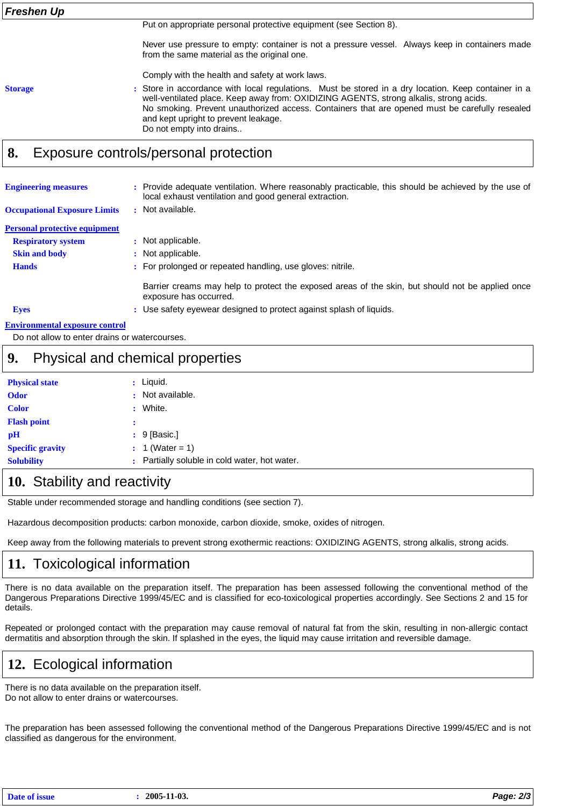Put on appropriate personal protective equipment (see Section 8).

Never use pressure to empty: container is not a pressure vessel. Always keep in containers made from the same material as the original one.

Comply with the health and safety at work laws.

**Storage** 

: Store in accordance with local regulations. Must be stored in a dry location. Keep container in a well-ventilated place. Keep away from: OXIDIZING AGENTS, strong alkalis, strong acids. No smoking. Prevent unauthorized access. Containers that are opened must be carefully resealed and kept upright to prevent leakage. Do not empty into drains..

### 8. Exposure controls/personal protection

| <b>Engineering measures</b><br><b>Occupational Exposure Limits</b> | : Provide adequate ventilation. Where reasonably practicable, this should be achieved by the use of<br>local exhaust ventilation and good general extraction.<br>: Not available. |
|--------------------------------------------------------------------|-----------------------------------------------------------------------------------------------------------------------------------------------------------------------------------|
| <b>Personal protective equipment</b>                               |                                                                                                                                                                                   |
| <b>Respiratory system</b>                                          | : Not applicable.                                                                                                                                                                 |
| <b>Skin and body</b>                                               | : Not applicable.                                                                                                                                                                 |
| <b>Hands</b>                                                       | : For prolonged or repeated handling, use gloves: nitrile.                                                                                                                        |
|                                                                    | Barrier creams may help to protect the exposed areas of the skin, but should not be applied once<br>exposure has occurred.                                                        |
| <b>Eyes</b>                                                        | : Use safety eyewear designed to protect against splash of liquids.                                                                                                               |
| Environmental exposure control                                     |                                                                                                                                                                                   |

Do not allow to enter drains or watercourses.

### 9. Physical and chemical properties

| <b>Physical state</b>   |   | $:$ Liquid.                                 |
|-------------------------|---|---------------------------------------------|
| <b>Odor</b>             |   | : Not available.                            |
| <b>Color</b>            | ÷ | White.                                      |
| <b>Flash point</b>      | с |                                             |
| pH                      |   | $: 9$ [Basic.]                              |
| <b>Specific gravity</b> |   | : 1 (Water = 1)                             |
| <b>Solubility</b>       |   | Partially soluble in cold water, hot water. |

## 10. Stability and reactivity

Stable under recommended storage and handling conditions (see section 7).

Hazardous decomposition products: carbon monoxide, carbon dioxide, smoke, oxides of nitrogen.

Keep away from the following materials to prevent strong exothermic reactions: OXIDIZING AGENTS, strong alkalis, strong acids.

## 11. Toxicological information

There is no data available on the preparation itself. The preparation has been assessed following the conventional method of the Dangerous Preparations Directive 1999/45/EC and is classified for eco-toxicological properties accordingly. See Sections 2 and 15 for details.

Repeated or prolonged contact with the preparation may cause removal of natural fat from the skin, resulting in non-allergic contact dermatitis and absorption through the skin. If splashed in the eyes, the liquid may cause irritation and reversible damage.

## 12. Ecological information

There is no data available on the preparation itself. Do not allow to enter drains or watercourses.

The preparation has been assessed following the conventional method of the Dangerous Preparations Directive 1999/45/EC and is not classified as dangerous for the environment.